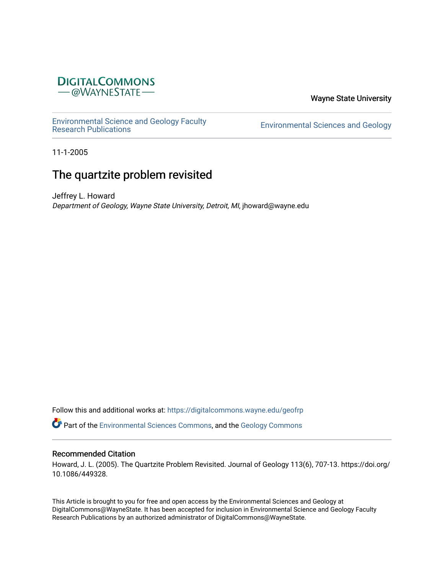

Wayne State University

[Environmental Science and Geology Faculty](https://digitalcommons.wayne.edu/geofrp) 

Environmental Sciences and Geology

11-1-2005

# The quartzite problem revisited

Jeffrey L. Howard Department of Geology, Wayne State University, Detroit, MI, jhoward@wayne.edu

Follow this and additional works at: [https://digitalcommons.wayne.edu/geofrp](https://digitalcommons.wayne.edu/geofrp?utm_source=digitalcommons.wayne.edu%2Fgeofrp%2F76&utm_medium=PDF&utm_campaign=PDFCoverPages) 

Part of the [Environmental Sciences Commons](https://network.bepress.com/hgg/discipline/167?utm_source=digitalcommons.wayne.edu%2Fgeofrp%2F76&utm_medium=PDF&utm_campaign=PDFCoverPages), and the [Geology Commons](https://network.bepress.com/hgg/discipline/156?utm_source=digitalcommons.wayne.edu%2Fgeofrp%2F76&utm_medium=PDF&utm_campaign=PDFCoverPages) 

## Recommended Citation

Howard, J. L. (2005). The Quartzite Problem Revisited. Journal of Geology 113(6), 707-13. https://doi.org/ 10.1086/449328.

This Article is brought to you for free and open access by the Environmental Sciences and Geology at DigitalCommons@WayneState. It has been accepted for inclusion in Environmental Science and Geology Faculty Research Publications by an authorized administrator of DigitalCommons@WayneState.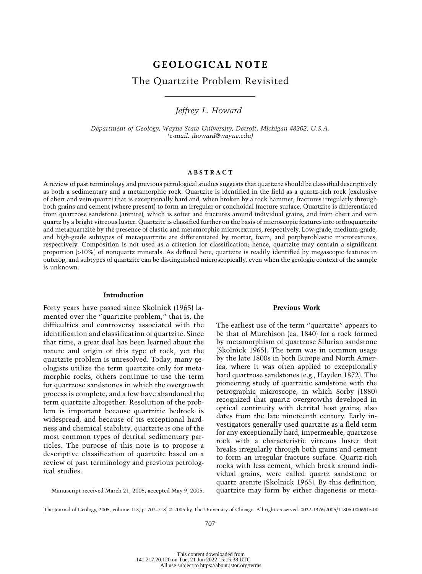# **GEOLOGICAL NOTE** The Quartzite Problem Revisited

# *Jeffrey L. Howard*

*Department of Geology, Wayne State University, Detroit, Michigan 48202, U.S.A. (e-mail: jhoward@wayne.edu)*

#### **ABSTRACT**

A review of past terminology and previous petrological studies suggests that quartzite should be classified descriptively as both a sedimentary and a metamorphic rock. Quartzite is identified in the field as a quartz-rich rock (exclusive of chert and vein quartz) that is exceptionally hard and, when broken by a rock hammer, fractures irregularly through both grains and cement (where present) to form an irregular or conchoidal fracture surface. Quartzite is differentiated from quartzose sandstone (arenite), which is softer and fractures around individual grains, and from chert and vein quartz by a bright vitreous luster. Quartzite is classified further on the basis of microscopic features into orthoquartzite and metaquartzite by the presence of clastic and metamorphic microtextures, respectively. Low-grade, medium-grade, and high-grade subtypes of metaquartzite are differentiated by mortar, foam, and porphyroblastic microtextures, respectively. Composition is not used as a criterion for classification; hence, quartzite may contain a significant proportion (110%) of nonquartz minerals. As defined here, quartzite is readily identified by megascopic features in outcrop, and subtypes of quartzite can be distinguished microscopically, even when the geologic context of the sample is unknown.

#### **Introduction**

Forty years have passed since Skolnick (1965) lamented over the "quartzite problem," that is, the difficulties and controversy associated with the identification and classification of quartzite. Since that time, a great deal has been learned about the nature and origin of this type of rock, yet the quartzite problem is unresolved. Today, many geologists utilize the term quartzite only for metamorphic rocks, others continue to use the term for quartzose sandstones in which the overgrowth process is complete, and a few have abandoned the term quartzite altogether. Resolution of the problem is important because quartzitic bedrock is widespread, and because of its exceptional hardness and chemical stability, quartzite is one of the most common types of detrital sedimentary particles. The purpose of this note is to propose a descriptive classification of quartzite based on a review of past terminology and previous petrological studies.

Manuscript received March 21, 2005; accepted May 9, 2005.

#### **Previous Work**

The earliest use of the term "quartzite" appears to be that of Murchison (ca. 1840) for a rock formed by metamorphism of quartzose Silurian sandstone (Skolnick 1965). The term was in common usage by the late 1800s in both Europe and North America, where it was often applied to exceptionally hard quartzose sandstones (e.g., Hayden 1872). The pioneering study of quartzitic sandstone with the petrographic microscope, in which Sorby (1880) recognized that quartz overgrowths developed in optical continuity with detrital host grains, also dates from the late nineteenth century. Early investigators generally used quartzite as a field term for any exceptionally hard, impermeable, quartzose rock with a characteristic vitreous luster that breaks irregularly through both grains and cement to form an irregular fracture surface. Quartz-rich rocks with less cement, which break around individual grains, were called quartz sandstone or quartz arenite (Skolnick 1965). By this definition, quartzite may form by either diagenesis or meta-

[The Journal of Geology, 2005, volume 113, p. 707-713] © 2005 by The University of Chicago. All rights reserved. 0022-1376/2005/11306-0006\$15.00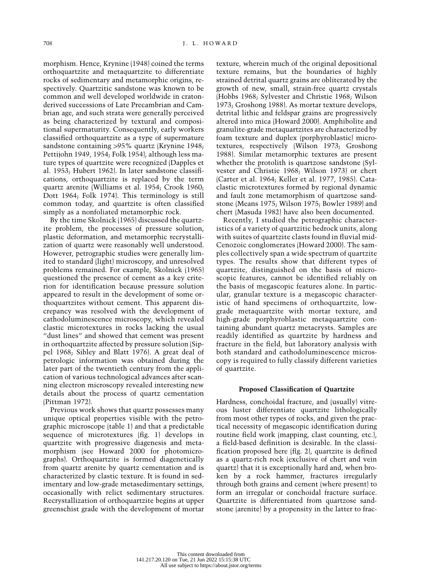morphism. Hence, Krynine (1948) coined the terms orthoquartzite and metaquartzite to differentiate rocks of sedimentary and metamorphic origins, respectively. Quartzitic sandstone was known to be common and well developed worldwide in cratonderived successions of Late Precambrian and Cambrian age, and such strata were generally perceived as being characterized by textural and compositional supermaturity. Consequently, early workers classified orthoquartzite as a type of supermature sandstone containing >95% quartz (Krynine 1948; Pettijohn 1949, 1954; Folk 1954), although less mature types of quartzite were recognized (Dapples et al. 1953; Hubert 1962). In later sandstone classifications, orthoquartzite is replaced by the term quartz arenite (Williams et al. 1954; Crook 1960; Dott 1964; Folk 1974). This terminology is still common today, and quartzite is often classified simply as a nonfoliated metamorphic rock.

By the time Skolnick (1965) discussed the quartzite problem, the processes of pressure solution, plastic deformation, and metamorphic recrystallization of quartz were reasonably well understood. However, petrographic studies were generally limited to standard (light) microscopy, and unresolved problems remained. For example, Skolnick (1965) questioned the presence of cement as a key criterion for identification because pressure solution appeared to result in the development of some orthoquartzites without cement. This apparent discrepancy was resolved with the development of cathodoluminescence microscopy, which revealed clastic microtextures in rocks lacking the usual "dust lines" and showed that cement was present in orthoquartzite affected by pressure solution (Sippel 1968; Sibley and Blatt 1976). A great deal of petrologic information was obtained during the later part of the twentieth century from the application of various technological advances after scanning electron microscopy revealed interesting new details about the process of quartz cementation (Pittman 1972).

Previous work shows that quartz possesses many unique optical properties visible with the petrographic microscope (table 1) and that a predictable sequence of microtextures (fig. 1) develops in quartzite with progressive diagenesis and metamorphism (see Howard 2000 for photomicrographs). Orthoquartzite is formed diagenetically from quartz arenite by quartz cementation and is characterized by clastic texture. It is found in sedimentary and low-grade metasedimentary settings, occasionally with relict sedimentary structures. Recrystallization of orthoquartzite begins at upper greenschist grade with the development of mortar

texture, wherein much of the original depositional texture remains, but the boundaries of highly strained detrital quartz grains are obliterated by the growth of new, small, strain-free quartz crystals (Hobbs 1968; Sylvester and Christie 1968; Wilson 1973; Groshong 1988). As mortar texture develops, detrital lithic and feldspar grains are progressively altered into mica (Howard 2000). Amphibolite and granulite-grade metaquartzites are characterized by foam texture and duplex (porphyroblastic) microtextures, respectively (Wilson 1973; Groshong 1988). Similar metamorphic textures are present whether the protolith is quartzose sandstone (Sylvester and Christie 1968; Wilson 1973) or chert (Carter et al. 1964; Keller et al. 1977, 1985). Cataclastic microtextures formed by regional dynamic and fault zone metamorphism of quartzose sandstone (Means 1975; Wilson 1975; Bowler 1989) and chert (Masuda 1982) have also been documented.

Recently, I studied the petrographic characteristics of a variety of quartzitic bedrock units, along with suites of quartzite clasts found in fluvial mid-Cenozoic conglomerates (Howard 2000). The samples collectively span a wide spectrum of quartzite types. The results show that different types of quartzite, distinguished on the basis of microscopic features, cannot be identified reliably on the basis of megascopic features alone. In particular, granular texture is a megascopic characteristic of hand specimens of orthoquartzite, lowgrade metaquartzite with mortar texture, and high-grade porphyroblastic metaquartzite containing abundant quartz metacrysts. Samples are readily identified as quartzite by hardness and fracture in the field, but laboratory analysis with both standard and cathodoluminescence microscopy is required to fully classify different varieties of quartzite.

### **Proposed Classification of Quartzite**

Hardness, conchoidal fracture, and (usually) vitreous luster differentiate quartzite lithologically from most other types of rocks, and given the practical necessity of megascopic identification during routine field work (mapping, clast counting, etc.), a field-based definition is desirable. In the classification proposed here (fig. 2), quartzite is defined as a quartz-rich rock (exclusive of chert and vein quartz) that it is exceptionally hard and, when broken by a rock hammer, fractures irregularly through both grains and cement (where present) to form an irregular or conchoidal fracture surface. Quartzite is differentiated from quartzose sandstone (arenite) by a propensity in the latter to frac-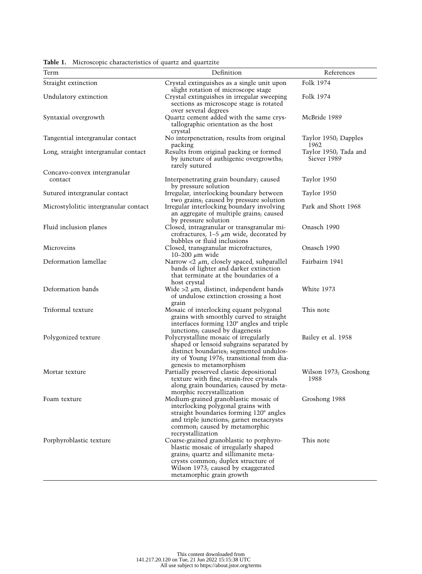Table 1. Microscopic characteristics of quartz and quartzite

| Term                                  | Definition                                                                                                                                                                                                                       | References                           |
|---------------------------------------|----------------------------------------------------------------------------------------------------------------------------------------------------------------------------------------------------------------------------------|--------------------------------------|
| Straight extinction                   | Crystal extinguishes as a single unit upon                                                                                                                                                                                       | Folk 1974                            |
| Undulatory extinction                 | slight rotation of microscope stage<br>Crystal extinguishes in irregular sweeping<br>sections as microscope stage is rotated                                                                                                     | Folk 1974                            |
| Syntaxial overgrowth                  | over several degrees<br>Quartz cement added with the same crys-<br>tallographic orientation as the host<br>crystal                                                                                                               | McBride 1989                         |
| Tangential intergranular contact      | No interpenetration; results from original<br>packing                                                                                                                                                                            | Taylor 1950; Dapples<br>1962         |
| Long, straight intergranular contact  | Results from original packing or formed<br>by juncture of authigenic overgrowths;<br>rarely sutured                                                                                                                              | Taylor 1950; Tada and<br>Siever 1989 |
| Concavo-convex intergranular          |                                                                                                                                                                                                                                  |                                      |
| contact                               | Interpenetrating grain boundary, caused<br>by pressure solution                                                                                                                                                                  | Taylor 1950                          |
| Sutured intergranular contact         | Irregular, interlocking boundary between<br>two grains; caused by pressure solution                                                                                                                                              | Taylor 1950                          |
| Microstylolitic intergranular contact | Irregular interlocking boundary involving<br>an aggregate of multiple grains; caused<br>by pressure solution                                                                                                                     | Park and Shott 1968                  |
| Fluid inclusion planes                | Closed, intragranular or transgranular mi-<br>crofractures, $1-5 \mu m$ wide, decorated by<br>bubbles or fluid inclusions                                                                                                        | Onasch 1990                          |
| Microveins                            | Closed, transgranular microfractures,<br>10–200 $\mu$ m wide                                                                                                                                                                     | Onasch 1990                          |
| Deformation lamellae                  | Narrow $\langle 2 \mu m \rangle$ , closely spaced, subparallel<br>bands of lighter and darker extinction<br>that terminate at the boundaries of a<br>host crystal                                                                | Fairbairn 1941                       |
| Deformation bands                     | Wide $>2 \mu m$ , distinct, independent bands<br>of undulose extinction crossing a host<br>grain                                                                                                                                 | White 1973                           |
| Triformal texture                     | Mosaic of interlocking equant polygonal<br>grains with smoothly curved to straight<br>interfaces forming 120° angles and triple<br>junctions, caused by diagenesis                                                               | This note                            |
| Polygonized texture                   | Polycrystalline mosaic of irregularly<br>shaped or lensoid subgrains separated by<br>distinct boundaries; segmented undulos-<br>ity of Young 1976; transitional from dia-<br>genesis to metamorphism                             | Bailey et al. 1958                   |
| Mortar texture                        | Partially preserved clastic depositional<br>texture with fine, strain-free crystals<br>along grain boundaries, caused by meta-<br>morphic recrystallization                                                                      | Wilson 1973; Groshong<br>1988        |
| Foam texture                          | Medium-grained granoblastic mosaic of<br>interlocking polygonal grains with<br>straight boundaries forming 120° angles<br>and triple junctions; garnet metacrysts<br>common; caused by metamorphic<br>recrystallization          | Groshong 1988                        |
| Porphyroblastic texture               | Coarse-grained granoblastic to porphyro-<br>blastic mosaic of irregularly shaped<br>grains, quartz and sillimanite meta-<br>crysts common; duplex structure of<br>Wilson 1973; caused by exaggerated<br>metamorphic grain growth | This note                            |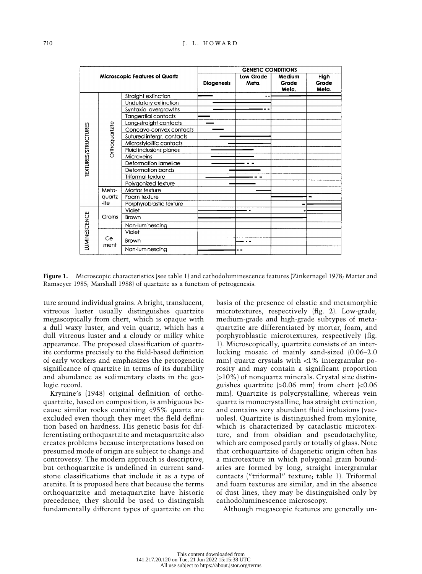| <b>Microscopic Features of Quartz</b> |                | <b>GENETIC CONDITIONS</b> |                           |                          |                        |   |
|---------------------------------------|----------------|---------------------------|---------------------------|--------------------------|------------------------|---|
|                                       |                | <b>Diagenesis</b>         | <b>Low Grade</b><br>Meta. | Medium<br>Grade<br>Meta. | High<br>Grade<br>Meta. |   |
| <b>TEXTURES/STRUCTURES</b>            | Orthoquartzite | Straight extinction       |                           |                          |                        |   |
|                                       |                | Undulatory extinction     |                           |                          |                        |   |
|                                       |                | Syntaxial overgrowths     |                           |                          |                        |   |
|                                       |                | Tangential contacts       |                           |                          |                        |   |
|                                       |                | Long-straight contacts    |                           |                          |                        |   |
|                                       |                | Concavo-convex contacts   |                           |                          |                        |   |
|                                       |                | Sutured intergr. contacts |                           |                          |                        |   |
|                                       |                | Microstylolitic contacts  |                           |                          |                        |   |
|                                       |                | Fluid inclusions planes   |                           |                          |                        |   |
|                                       |                | Microveins                |                           |                          |                        |   |
|                                       |                | Deformation lamellae      |                           |                          |                        |   |
|                                       |                | Deformation bands         |                           |                          |                        |   |
|                                       |                | <b>Triformal texture</b>  |                           |                          |                        |   |
|                                       |                | Polygonized texture       |                           |                          |                        |   |
|                                       | Meta-          | Mortar texture            |                           |                          |                        |   |
|                                       | quartz<br>-ite | Foam texture              |                           |                          |                        | - |
|                                       |                | Porphyroblastic texture   |                           |                          |                        |   |
|                                       |                | Violet                    |                           |                          |                        |   |
| <b>UMINESCENCE</b>                    | Grains         | <b>Brown</b>              |                           |                          |                        |   |
|                                       |                | Non-luminescing           |                           |                          |                        |   |
|                                       | $Ce-$<br>ment  | Violet                    |                           |                          |                        |   |
|                                       |                |                           |                           |                          |                        |   |
|                                       |                | Brown                     |                           |                          |                        |   |
|                                       |                | Non-luminescing           |                           |                          |                        |   |

**Figure 1.** Microscopic characteristics (see table 1) and cathodoluminescence features (Zinkernagel 1978; Matter and Ramseyer 1985; Marshall 1988) of quartzite as a function of petrogenesis.

ture around individual grains. A bright, translucent, vitreous luster usually distinguishes quartzite megascopically from chert, which is opaque with a dull waxy luster, and vein quartz, which has a dull vitreous luster and a cloudy or milky white appearance. The proposed classification of quartzite conforms precisely to the field-based definition of early workers and emphasizes the petrogenetic significance of quartzite in terms of its durability and abundance as sedimentary clasts in the geologic record.

Krynine's (1948) original definition of orthoquartzite, based on composition, is ambiguous because similar rocks containing !95% quartz are excluded even though they meet the field definition based on hardness. His genetic basis for differentiating orthoquartzite and metaquartzite also creates problems because interpretations based on presumed mode of origin are subject to change and controversy. The modern approach is descriptive, but orthoquartzite is undefined in current sandstone classifications that include it as a type of arenite. It is proposed here that because the terms orthoquartzite and metaquartzite have historic precedence, they should be used to distinguish fundamentally different types of quartzite on the basis of the presence of clastic and metamorphic microtextures, respectively (fig. 2). Low-grade, medium-grade and high-grade subtypes of metaquartzite are differentiated by mortar, foam, and porphyroblastic microtextures, respectively (fig. 1). Microscopically, quartzite consists of an interlocking mosaic of mainly sand-sized (0.06–2.0 mm) quartz crystals with  $\langle 1\%$  intergranular porosity and may contain a significant proportion  $|>10\%$ ) of nonquartz minerals. Crystal size distinguishes quartzite  $|>0.06$  mm) from chert  $|<0.06$ mm). Quartzite is polycrystalline, whereas vein quartz is monocrystalline, has straight extinction, and contains very abundant fluid inclusions (vacuoles). Quartzite is distinguished from mylonite, which is characterized by cataclastic microtexture, and from obsidian and pseudotachylite, which are composed partly or totally of glass. Note that orthoquartzite of diagenetic origin often has a microtexture in which polygonal grain boundaries are formed by long, straight intergranular contacts ("triformal" texture; table 1). Triformal and foam textures are similar, and in the absence of dust lines, they may be distinguished only by cathodoluminescence microscopy.

Although megascopic features are generally un-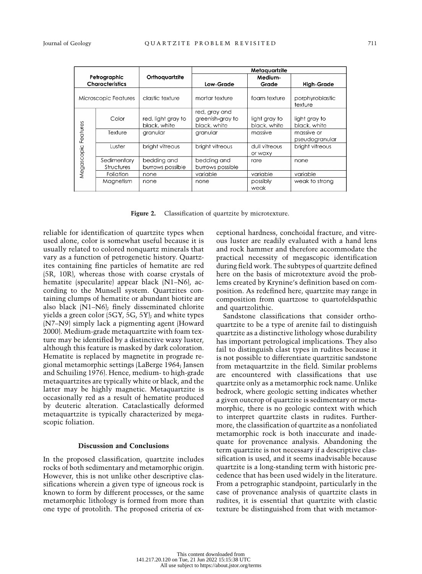| Petrographic<br><b>Characteristics</b> |                                  |                                    | Metaquartzite                                     |                               |                               |
|----------------------------------------|----------------------------------|------------------------------------|---------------------------------------------------|-------------------------------|-------------------------------|
|                                        |                                  | Orthoquartzite                     | Low-Grade                                         | Medium-<br>Grade              | High-Grade                    |
| Microscopic Features                   |                                  | clastic texture                    | mortar texture                                    | foam texture                  | porphyroblastic<br>texture    |
| Features<br>Megascopic                 | Color                            | red, light gray to<br>black, white | red, gray and<br>greenish-gray to<br>black, white | light gray to<br>black, white | light gray to<br>black, white |
|                                        | Texture                          | aranular                           | granular                                          | massive                       | massive or<br>pseudogranular  |
|                                        | Luster                           | bright vitreous                    | bright vitreous                                   | dull vitreous<br>or waxy      | bright vitreous               |
|                                        | Sedimentary<br><b>Structures</b> | bedding and<br>burrows possible    | bedding and<br>burrows possible                   | rare                          | none                          |
|                                        | Foliation                        | none                               | variable                                          | variable                      | variable                      |
|                                        | Magnetism                        | none                               | none                                              | possibly<br>weak              | weak to strong                |

**Figure 2.** Classification of quartzite by microtexture.

reliable for identification of quartzite types when used alone, color is somewhat useful because it is usually related to colored nonquartz minerals that vary as a function of petrogenetic history. Quartzites containing fine particles of hematite are red (5R, 10R), whereas those with coarse crystals of hematite (specularite) appear black (N1–N6), according to the Munsell system. Quartzites containing clumps of hematite or abundant biotite are also black (N1–N6); finely disseminated chlorite yields a green color (5GY, 5G, 5Y); and white types (N7–N9) simply lack a pigmenting agent (Howard 2000). Medium-grade metaquartzite with foam texture may be identified by a distinctive waxy luster, although this feature is masked by dark coloration. Hematite is replaced by magnetite in prograde regional metamorphic settings (LaBerge 1964; Jansen and Schuiling 1976). Hence, medium- to high-grade metaquartzites are typically white or black, and the latter may be highly magnetic. Metaquartzite is occasionally red as a result of hematite produced by deuteric alteration. Cataclastically deformed metaquartzite is typically characterized by megascopic foliation.

## **Discussion and Conclusions**

In the proposed classification, quartzite includes rocks of both sedimentary and metamorphic origin. However, this is not unlike other descriptive classifications wherein a given type of igneous rock is known to form by different processes, or the same metamorphic lithology is formed from more than one type of protolith. The proposed criteria of ex-

ceptional hardness, conchoidal fracture, and vitreous luster are readily evaluated with a hand lens and rock hammer and therefore accommodate the practical necessity of megascopic identification during field work. The subtypes of quartzite defined here on the basis of microtexture avoid the problems created by Krynine's definition based on composition. As redefined here, quartzite may range in composition from quartzose to quartofeldspathic and quartzolithic.

Sandstone classifications that consider orthoquartzite to be a type of arenite fail to distinguish quartzite as a distinctive lithology whose durability has important petrological implications. They also fail to distinguish clast types in rudites because it is not possible to differentiate quartzitic sandstone from metaquartzite in the field. Similar problems are encountered with classifications that use quartzite only as a metamorphic rock name. Unlike bedrock, where geologic setting indicates whether a given outcrop of quartzite is sedimentary or metamorphic, there is no geologic context with which to interpret quartzite clasts in rudites. Furthermore, the classification of quartzite as a nonfoliated metamorphic rock is both inaccurate and inadequate for provenance analysis. Abandoning the term quartzite is not necessary if a descriptive classification is used, and it seems inadvisable because quartzite is a long-standing term with historic precedence that has been used widely in the literature. From a petrographic standpoint, particularly in the case of provenance analysis of quartzite clasts in rudites, it is essential that quartzite with clastic texture be distinguished from that with metamor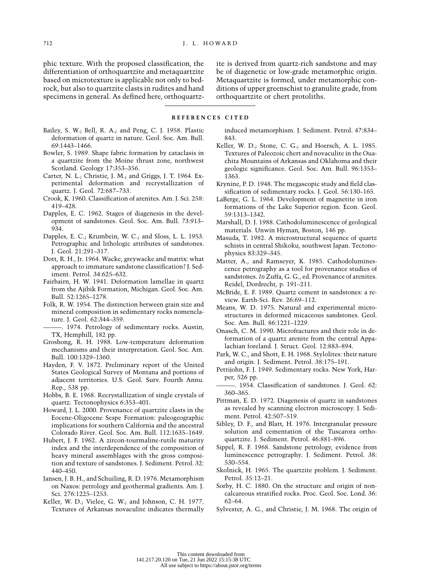phic texture. With the proposed classification, the differentiation of orthoquartzite and metaquartzite based on microtexture is applicable not only to bedrock, but also to quartzite clasts in rudites and hand specimens in general. As defined here, orthoquartzite is derived from quartz-rich sandstone and may be of diagenetic or low-grade metamorphic origin. Metaquartzite is formed, under metamorphic conditions of upper greenschist to granulite grade, from orthoquartzite or chert protoliths.

### **REFERENCES CITED**

- Bailey, S. W.; Bell, R. A.; and Peng, C. J. 1958. Plastic deformation of quartz in nature. Geol. Soc. Am. Bull. 69:1443–1466.
- Bowler, S. 1989. Shape fabric formation by cataclasis in a quartzite from the Moine thrust zone, northwest Scotland. Geology 17:353–356.
- Carter, N. L.; Christie, J. M.; and Griggs, J. T. 1964. Experimental deformation and recrystallization of quartz. J. Geol. 72:687–733.
- Crook, K. 1960. Classification of arenites. Am. J. Sci. 258: 419–428.
- Dapples, E. C. 1962. Stages of diagenesis in the development of sandstones. Geol. Soc. Am. Bull. 73:913– 934.
- Dapples, E. C.; Krumbein, W. C.; and Sloss, L. L. 1953. Petrographic and lithologic attributes of sandstones. J. Geol. 21:291–317.
- Dott, R. H., Jr. 1964. Wacke, greywacke and matrix: what approach to immature sandstone classification? J. Sediment. Petrol. 34:625–632.
- Fairbairn, H. W. 1941. Deformation lamellae in quartz from the Ajibik Formation, Michigan. Geol. Soc. Am. Bull. 52:1265–1278.
- Folk, R. W. 1954. The distinction between grain size and mineral composition in sedimentary rocks nomenclature. J. Geol. 62:344–359.
- ———. 1974. Petrology of sedimentary rocks. Austin, TX, Hemphill, 182 pp.
- Groshong, R. H. 1988. Low-temperature deformation mechanisms and their interpretation. Geol. Soc. Am. Bull. 100:1329–1360.
- Hayden, F. V. 1872. Preliminary report of the United States Geological Survey of Montana and portions of adjacent territories. U.S. Geol. Surv. Fourth Annu. Rep., 538 pp.
- Hobbs, B. E. 1968. Recrystallization of single crystals of quartz. Tectonophysics 6:353–401.
- Howard, J. L. 2000. Provenance of quartzite clasts in the Eocene-Oligocene Sespe Formation: paleogeographic implications for southern California and the ancestral Colorado River. Geol. Soc. Am. Bull. 112:1635–1649.
- Hubert, J. F. 1962. A zircon-tourmaline-rutile maturity index and the interdependence of the composition of heavy mineral assemblages with the gross composition and texture of sandstones. J. Sediment. Petrol. 32: 440–450.
- Jansen, J. B. H., and Schuiling, R. D. 1976. Metamorphism on Naxos: petrology and geothermal gradients. Am. J. Sci. 276:1225–1253.
- Keller, W. D.; Vielee, G. W.; and Johnson, C. H. 1977. Textures of Arkansas novaculite indicates thermally

induced metamorphism. J. Sediment. Petrol. 47:834– 843.

- Keller, W. D.; Stone, C. G.; and Hoersch, A. L. 1985. Textures of Paleozoic chert and novaculite in the Ouachita Mountains of Arkansas and Oklahoma and their geologic significance. Geol. Soc. Am. Bull. 96:1353– 1363.
- Krynine, P. D. 1948. The megascopic study and field classification of sedimentary rocks. J. Geol. 56:130–165.
- LaBerge, G. L. 1964. Development of magnetite in iron formations of the Lake Superior region. Econ. Geol. 59:1313–1342.
- Marshall, D. J. 1988. Cathodoluminescence of geological materials. Unwin Hyman, Boston, 146 pp.
- Masuda, T. 1982. A microstructural sequence of quartz schists in central Shikoku, southwest Japan. Tectonophysics 83:329–345.
- Matter, A., and Ramseyer, K. 1985. Cathodoluminescence petrography as a tool for provenance studies of sandstones. *In* Zuffa, G. G., ed. Provenance of arenites. Reidel, Dordrecht, p. 191–211.
- McBride, E. F. 1989. Quartz cement in sandstones: a review. Earth-Sci. Rev. 26:69–112.
- Means, W. D. 1975. Natural and experimental microstructures in deformed micaceous sandstones. Geol. Soc. Am. Bull. 86:1221–1229.
- Onasch, C. M. 1990. Microfractures and their role in deformation of a quartz arenite from the central Appalachian foreland. J. Struct. Geol. 12:883–894.
- Park, W. C., and Shott, E. H. 1968. Stylolites: their nature and origin. J. Sediment. Petrol. 38:175–191.
- Pettijohn, F. J. 1949. Sedimentary rocks. New York, Harper, 526 pp.
- ———. 1954. Classification of sandstones. J. Geol. 62: 360–365.
- Pittman, E. D. 1972. Diagenesis of quartz in sandstones as revealed by scanning electron microscopy. J. Sediment. Petrol. 42:507–519.
- Sibley, D. F., and Blatt, H. 1976. Intergranular pressure solution and cementation of the Tuscarora orthoquartzite. J. Sediment. Petrol. 46:881–896.
- Sippel, R. F. 1968. Sandstone petrology, evidence from luminescence petrography. J. Sediment. Petrol. 38: 530–554.
- Skolnick, H. 1965. The quartzite problem. J. Sediment. Petrol. 35:12–21.
- Sorby, H. C. 1880. On the structure and origin of noncalcareous stratified rocks. Proc. Geol. Soc. Lond. 36: 62–64.
- Sylvester, A. G., and Christie, J. M. 1968. The origin of